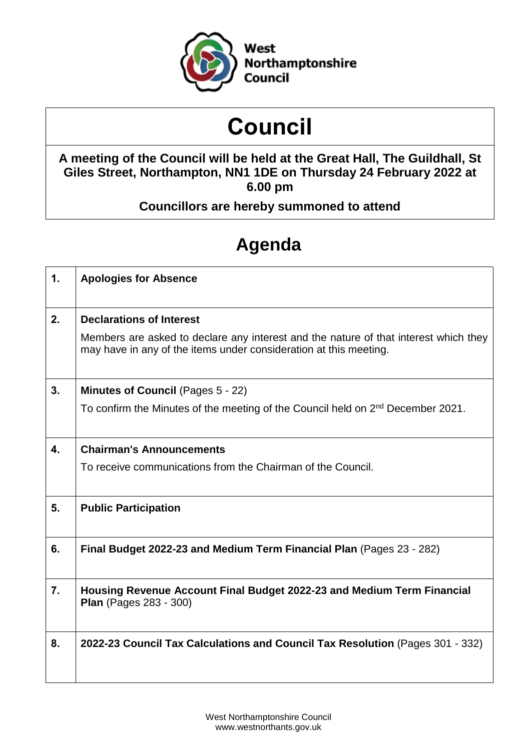

# **Council**

## **A meeting of the Council will be held at the Great Hall, The Guildhall, St Giles Street, Northampton, NN1 1DE on Thursday 24 February 2022 at 6.00 pm**

# **Councillors are hereby summoned to attend**

# **Agenda**

| 1.             | <b>Apologies for Absence</b>                                                                                                                              |
|----------------|-----------------------------------------------------------------------------------------------------------------------------------------------------------|
| 2.             | <b>Declarations of Interest</b>                                                                                                                           |
|                | Members are asked to declare any interest and the nature of that interest which they<br>may have in any of the items under consideration at this meeting. |
| 3.             | <b>Minutes of Council (Pages 5 - 22)</b>                                                                                                                  |
|                | To confirm the Minutes of the meeting of the Council held on 2 <sup>nd</sup> December 2021.                                                               |
| $\mathbf{4}$ . | <b>Chairman's Announcements</b>                                                                                                                           |
|                | To receive communications from the Chairman of the Council.                                                                                               |
| 5.             | <b>Public Participation</b>                                                                                                                               |
| 6.             | Final Budget 2022-23 and Medium Term Financial Plan (Pages 23 - 282)                                                                                      |
| 7.             | Housing Revenue Account Final Budget 2022-23 and Medium Term Financial<br><b>Plan</b> (Pages 283 - 300)                                                   |
| 8.             | 2022-23 Council Tax Calculations and Council Tax Resolution (Pages 301 - 332)                                                                             |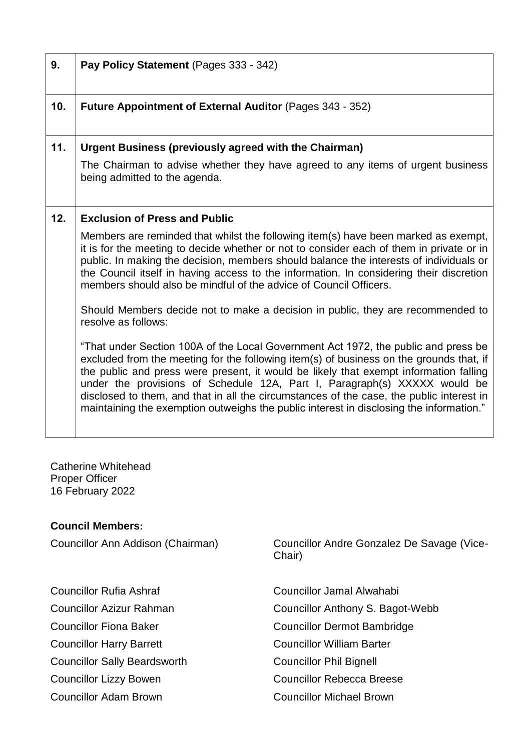| 9.  | Pay Policy Statement (Pages 333 - 342)                                                                                                                                                                                                                                                                                                                                                                                                                                                                                                     |
|-----|--------------------------------------------------------------------------------------------------------------------------------------------------------------------------------------------------------------------------------------------------------------------------------------------------------------------------------------------------------------------------------------------------------------------------------------------------------------------------------------------------------------------------------------------|
| 10. | <b>Future Appointment of External Auditor (Pages 343 - 352)</b>                                                                                                                                                                                                                                                                                                                                                                                                                                                                            |
| 11. | <b>Urgent Business (previously agreed with the Chairman)</b>                                                                                                                                                                                                                                                                                                                                                                                                                                                                               |
|     | The Chairman to advise whether they have agreed to any items of urgent business<br>being admitted to the agenda.                                                                                                                                                                                                                                                                                                                                                                                                                           |
| 12. | <b>Exclusion of Press and Public</b>                                                                                                                                                                                                                                                                                                                                                                                                                                                                                                       |
|     | Members are reminded that whilst the following item(s) have been marked as exempt,<br>it is for the meeting to decide whether or not to consider each of them in private or in<br>public. In making the decision, members should balance the interests of individuals or<br>the Council itself in having access to the information. In considering their discretion<br>members should also be mindful of the advice of Council Officers.                                                                                                   |
|     | Should Members decide not to make a decision in public, they are recommended to<br>resolve as follows:                                                                                                                                                                                                                                                                                                                                                                                                                                     |
|     | "That under Section 100A of the Local Government Act 1972, the public and press be<br>excluded from the meeting for the following item(s) of business on the grounds that, if<br>the public and press were present, it would be likely that exempt information falling<br>under the provisions of Schedule 12A, Part I, Paragraph(s) XXXXX would be<br>disclosed to them, and that in all the circumstances of the case, the public interest in<br>maintaining the exemption outweighs the public interest in disclosing the information." |

Catherine Whitehead Proper Officer 16 February 2022

#### **Council Members:**

- 
- 
- 
- 
- Councillor Sally Beardsworth Councillor Phil Bignell
- 
- 

Councillor Ann Addison (Chairman) Councillor Andre Gonzalez De Savage (Vice-Chair)

Councillor Rufia Ashraf Councillor Jamal Alwahabi Councillor Azizur Rahman Councillor Anthony S. Bagot-Webb Councillor Fiona Baker Councillor Dermot Bambridge Councillor Harry Barrett Councillor William Barter Councillor Lizzy Bowen Councillor Rebecca Breese Councillor Adam Brown Councillor Michael Brown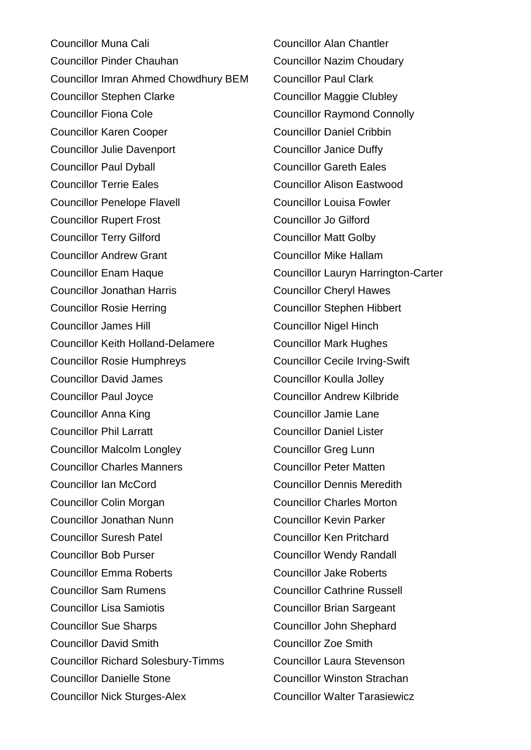Councillor Muna Cali Councillor Alan Chantler Councillor Pinder Chauhan Councillor Nazim Choudary Councillor Imran Ahmed Chowdhury BEM Councillor Paul Clark Councillor Stephen Clarke Councillor Maggie Clubley Councillor Fiona Cole **Councillor Raymond Connolly** Councillor Karen Cooper Councillor Daniel Cribbin Councillor Julie Davenport Councillor Janice Duffy Councillor Paul Dyball Councillor Gareth Eales Councillor Terrie Eales Councillor Alison Eastwood Councillor Penelope Flavell Councillor Louisa Fowler Councillor Rupert Frost Councillor Jo Gilford **Councillor Terry Gilford Councillor Matt Golby** Councillor Andrew Grant Councillor Mike Hallam Councillor Enam Haque Councillor Lauryn Harrington-Carter Councillor Jonathan Harris Councillor Cheryl Hawes Councillor Rosie Herring Councillor Stephen Hibbert Councillor James Hill Councillor Nigel Hinch Councillor Keith Holland-Delamere Councillor Mark Hughes Councillor Rosie Humphreys Councillor Cecile Irving-Swift Councillor David James Councillor Koulla Jolley Councillor Paul Joyce Councillor Andrew Kilbride Councillor Anna King Councillor Jamie Lane Councillor Phil Larratt Councillor Daniel Lister Councillor Malcolm Longley Councillor Greg Lunn Councillor Charles Manners Councillor Peter Matten Councillor Ian McCord Councillor Dennis Meredith Councillor Colin Morgan Councillor Charles Morton Councillor Jonathan Nunn Councillor Kevin Parker Councillor Suresh Patel Councillor Ken Pritchard Councillor Bob Purser Councillor Wendy Randall Councillor Emma Roberts Councillor Jake Roberts Councillor Sam Rumens Councillor Cathrine Russell Councillor Lisa Samiotis Councillor Brian Sargeant Councillor Sue Sharps Councillor John Shephard Councillor David Smith Councillor Zoe Smith Councillor Richard Solesbury-Timms Councillor Laura Stevenson Councillor Danielle Stone Councillor Winston Strachan Councillor Nick Sturges-Alex Councillor Walter Tarasiewicz